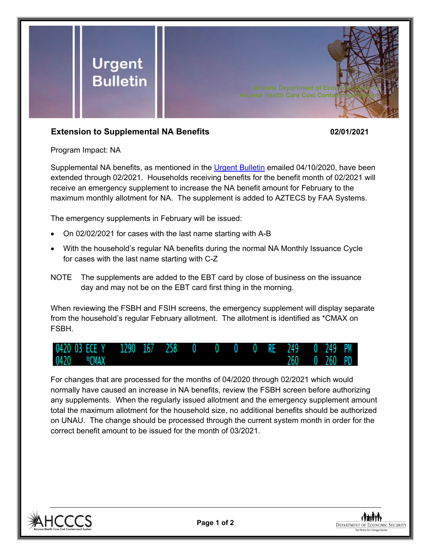

## **Extension to Supplemental NA Benefits 02/01/2021**

Program Impact: NA

Supplemental NA benefits, as mentioned in the [Urgent Bulletin](https://dbmefaapolicy.azdes.gov/FAA5/baggage/Urgent%20Bulletin%20(04-10-2020)%20-%20Supplemental%20Nutrition%20Assistance%20Benefits%20for%20Participants.pdf) emailed 04/10/2020, have been extended through 02/2021. Households receiving benefits for the benefit month of 02/2021 will receive an emergency supplement to increase the NA benefit amount for February to the maximum monthly allotment for NA. The supplement is added to AZTECS by FAA Systems.

The emergency supplements in February will be issued:

- On 02/02/2021 for cases with the last name starting with A-B
- With the household's regular NA benefits during the normal NA Monthly Issuance Cycle for cases with the last name starting with C-Z
- NOTE The supplements are added to the EBT card by close of business on the issuance day and may not be on the EBT card first thing in the morning.

When reviewing the FSBH and FSIH screens, the emergency supplement will display separate from the household's regular February allotment. The allotment is identified as \*CMAX on FSBH.



For changes that are processed for the months of 04/2020 through 02/2021 which would normally have caused an increase in NA benefits, review the FSBH screen before authorizing any supplements. When the regularly issued allotment and the emergency supplement amount total the maximum allotment for the household size, no additional benefits should be authorized on UNAU. The change should be processed through the current system month in order for the correct benefit amount to be issued for the month of 03/2021.